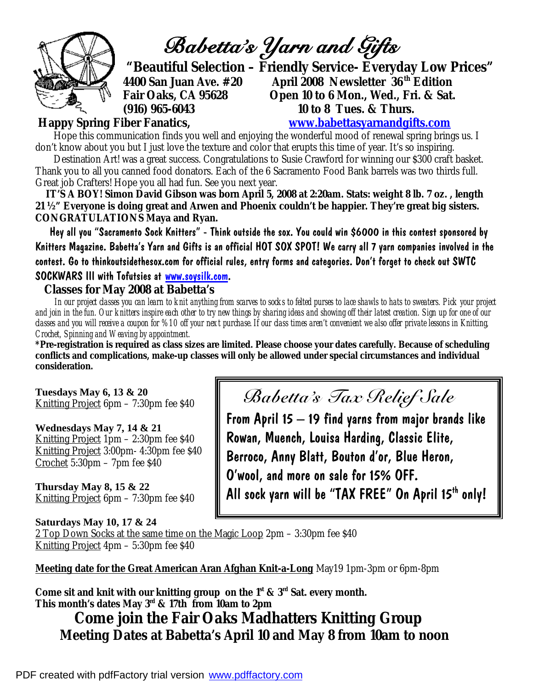

*Babetta's Yarn and Gifts* 

 **"Beautiful Selection – Friendly Service- Everyday Low Prices" (916) 965-6043 10 to 8 Tues. & Thurs.** 

**4400 San Juan Ave. #20 April 2008 Newsletter 36 th Edition Fair Oaks, CA 95628 Open 10 to 6 Mon., Wed., Fri. & Sat.** 

**Happy Spring Fiber Fanatics, [www.babettasyarnandgifts.com](http://www.babettasyarnandgifts.com)**

Hope this communication finds you well and enjoying the wonderful mood of renewal spring brings us. I don't know about you but I just love the texture and color that erupts this time of year. It's so inspiring.

 Destination Art! was a great success. Congratulations to Susie Crawford for winning our \$300 craft basket. Thank you to all you canned food donators. Each of the 6 Sacramento Food Bank barrels was two thirds full. Great job Crafters! Hope you all had fun. See you next year.

 **IT'S A BOY! Simon David Gibson was born April 5, 2008 at 2:20am. Stats: weight 8 lb. 7 oz. , length 21 ½" Everyone is doing great and Arwen and Phoenix couldn't be happier. They're great big sisters. CONGRATULATIONS Maya and Ryan.** 

 Hey all you "Sacramento Sock Knitters" - Think outside the sox. You could win \$6000 in this contest sponsored by Knitters Magazine. Babetta's Yarn and Gifts is an official HOT SOX SPOT! We carry all 7 yarn companies involved in the contest. Go to thinkoutsidethesox.com for official rules, entry forms and categories. Don't forget to check out SWTC SOCKWARS III with Tofutsies at [www.soysilk.com](http://www.soysilk.com).

## **Classes for May 2008 at Babetta's**

 *In our project classes you can learn to knit anything from scarves to socks to felted purses to lace shawls to hats to sweaters. Pick your project and join in the fun. Our knitters inspire each other to try new things by sharing ideas and showing off their latest creation. Sign up for one of our classes and you will receive a coupon for %10 off your next purchase. If our class times aren't convenient we also offer private lessons in Knitting, Crochet, Spinning and Weaving by appointment.* 

**\*Pre-registration is required as class sizes are limited. Please choose your dates carefully. Because of scheduling conflicts and complications, make-up classes will only be allowed under special circumstances and individual consideration.** 

**Tuesdays May 6, 13 & 20**  Knitting Project 6pm – 7:30pm fee \$40

**Wednesdays May 7, 14 & 21**  Knitting Project 1pm – 2:30pm fee \$40 Knitting Project 3:00pm- 4:30pm fee \$40 Crochet 5:30pm – 7pm fee \$40

**Thursday May 8, 15 & 22**  Knitting Project 6pm – 7:30pm fee \$40 *Babetta's Tax Relief Sale*

From April 15 – 19 find yarns from major brands like Rowan, Muench, Louisa Harding, Classic Elite, Berroco, Anny Blatt, Bouton d'or, Blue Heron, O'wool, and more on sale for 15% OFF. All sock yarn will be "TAX FREE" On April 15th only!

**Saturdays May 10, 17 & 24** 

2 Top Down Socks at the same time on the Magic Loop 2pm – 3:30pm fee \$40 Knitting Project 4pm – 5:30pm fee \$40

**Meeting date for the Great American Aran Afghan Knit-a-Long** May19 1pm-3pm or 6pm-8pm

**Come sit and knit with our knitting group on the 1st & 3rd Sat. every month. This month's dates May 3rd & 17th from 10am to 2pm** 

 **Come join the Fair Oaks Madhatters Knitting Group Meeting Dates at Babetta's April 10 and May 8 from 10am to noon**